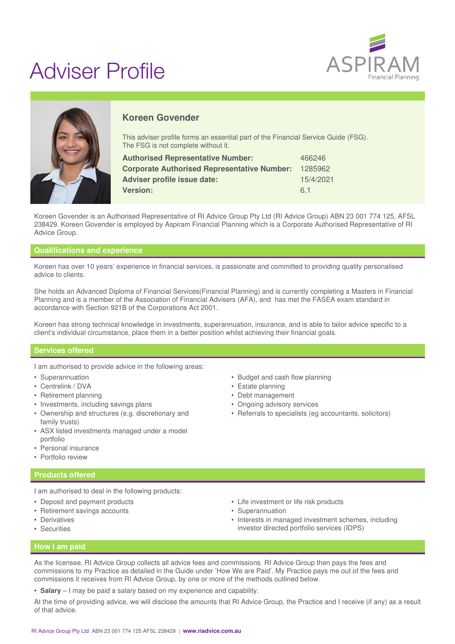# Adviser Profile





# **Koreen Govender**

This adviser profile forms an essential part of the Financial Service Guide (FSG). The FSG is not complete without it.

| <b>Authorised Representative Number:</b>           | 466246    |
|----------------------------------------------------|-----------|
| <b>Corporate Authorised Representative Number:</b> | 1285962   |
| Adviser profile issue date:                        | 15/4/2021 |
| <b>Version:</b>                                    | 61        |

Koreen Govender is an Authorised Representative of RI Advice Group Pty Ltd (RI Advice Group) ABN 23 001 774 125, AFSL 238429. Koreen Govender is employed by Aspiram Financial Planning which is a Corporate Authorised Representative of RI Advice Group.

### **Qualifications and experience**

Koreen has over 10 years' experience in financial services, is passionate and committed to providing quality personalised advice to clients.

She holds an Advanced Diploma of Financial Services(Financial Planning) and is currently completing a Masters in Financial Planning and is a member of the Association of Financial Advisers (AFA), and has met the FASEA exam standard in accordance with Section 921B of the Corporations Act 2001.

Koreen has strong technical knowledge in investments, superannuation, insurance, and is able to tailor advice specific to a client's individual circumstance, place them in a better position whilst achieving their financial goals.

#### **Services offered**

I am authorised to provide advice in the following areas:

- Superannuation
- Centrelink / DVA
- Retirement planning
- Investments, including savings plans
- Ownership and structures (e.g. discretionary and family trusts)
- ASX listed investments managed under a model portfolio
- Personal insurance
- Portfolio review

#### **Products offered**

I am authorised to deal in the following products:

- Deposit and payment products
- Retirement savings accounts
- Derivatives
- Securities
- Budget and cash flow planning
- Estate planning
- Debt management
- Ongoing advisory services
- Referrals to specialists (eg accountants, solicitors)

- Life investment or life risk products
- Superannuation
- Interests in managed investment schemes, including investor directed portfolio services (IDPS)

#### **How I am paid**

As the licensee, RI Advice Group collects all advice fees and commissions. RI Advice Group then pays the fees and commissions to my Practice as detailed in the Guide under 'How We are Paid'. My Practice pays me out of the fees and commissions it receives from RI Advice Group, by one or more of the methods outlined below.

• **Salary** – I may be paid a salary based on my experience and capability.

At the time of providing advice, we will disclose the amounts that RI Advice Group, the Practice and I receive (if any) as a result of that advice.